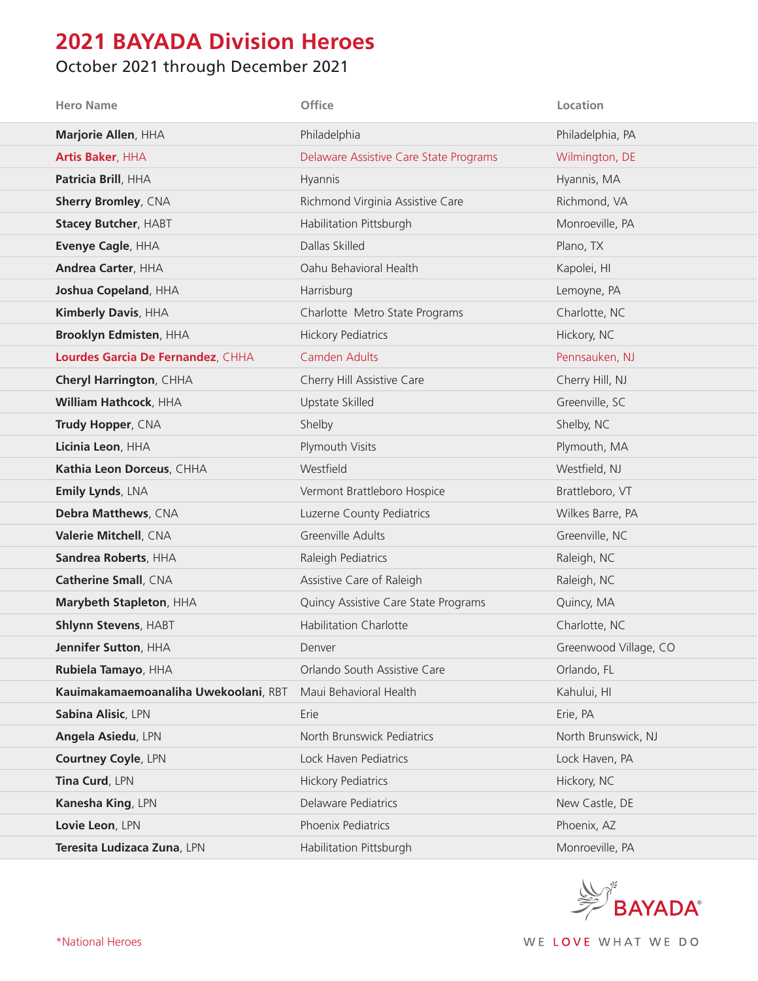## **2021 BAYADA Division Heroes**

## October 2021 through December 2021

| <b>Hero Name</b>                     | Office                                 | Location              |
|--------------------------------------|----------------------------------------|-----------------------|
| Marjorie Allen, HHA                  | Philadelphia                           | Philadelphia, PA      |
| Artis Baker, HHA                     | Delaware Assistive Care State Programs | Wilmington, DE        |
| Patricia Brill, HHA                  | Hyannis                                | Hyannis, MA           |
| <b>Sherry Bromley, CNA</b>           | Richmond Virginia Assistive Care       | Richmond, VA          |
| <b>Stacey Butcher, HABT</b>          | Habilitation Pittsburgh                | Monroeville, PA       |
| Evenye Cagle, HHA                    | Dallas Skilled                         | Plano, TX             |
| <b>Andrea Carter, HHA</b>            | Oahu Behavioral Health                 | Kapolei, HI           |
| Joshua Copeland, HHA                 | Harrisburg                             | Lemoyne, PA           |
| Kimberly Davis, HHA                  | Charlotte Metro State Programs         | Charlotte, NC         |
| <b>Brooklyn Edmisten, HHA</b>        | <b>Hickory Pediatrics</b>              | Hickory, NC           |
| Lourdes Garcia De Fernandez, CHHA    | <b>Camden Adults</b>                   | Pennsauken, NJ        |
| <b>Cheryl Harrington, CHHA</b>       | Cherry Hill Assistive Care             | Cherry Hill, NJ       |
| William Hathcock, HHA                | Upstate Skilled                        | Greenville, SC        |
| Trudy Hopper, CNA                    | Shelby                                 | Shelby, NC            |
| Licinia Leon, HHA                    | Plymouth Visits                        | Plymouth, MA          |
| Kathia Leon Dorceus, CHHA            | Westfield                              | Westfield, NJ         |
| Emily Lynds, LNA                     | Vermont Brattleboro Hospice            | Brattleboro, VT       |
| Debra Matthews, CNA                  | Luzerne County Pediatrics              | Wilkes Barre, PA      |
| Valerie Mitchell, CNA                | Greenville Adults                      | Greenville, NC        |
| Sandrea Roberts, HHA                 | Raleigh Pediatrics                     | Raleigh, NC           |
| <b>Catherine Small, CNA</b>          | Assistive Care of Raleigh              | Raleigh, NC           |
| Marybeth Stapleton, HHA              | Quincy Assistive Care State Programs   | Quincy, MA            |
| <b>Shlynn Stevens, HABT</b>          | <b>Habilitation Charlotte</b>          | Charlotte, NC         |
| Jennifer Sutton, HHA                 | Denver                                 | Greenwood Village, CO |
| Rubiela Tamayo, HHA                  | Orlando South Assistive Care           | Orlando, FL           |
| Kauimakamaemoanaliha Uwekoolani, RBT | Maui Behavioral Health                 | Kahului, HI           |
| Sabina Alisic, LPN                   | Erie                                   | Erie, PA              |
| Angela Asiedu, LPN                   | North Brunswick Pediatrics             | North Brunswick, NJ   |
| Courtney Coyle, LPN                  | Lock Haven Pediatrics                  | Lock Haven, PA        |
| Tina Curd, LPN                       | <b>Hickory Pediatrics</b>              | Hickory, NC           |
| Kanesha King, LPN                    | Delaware Pediatrics                    | New Castle, DE        |
| Lovie Leon, LPN                      | Phoenix Pediatrics                     | Phoenix, AZ           |
| Teresita Ludizaca Zuna, LPN          | Habilitation Pittsburgh                | Monroeville, PA       |